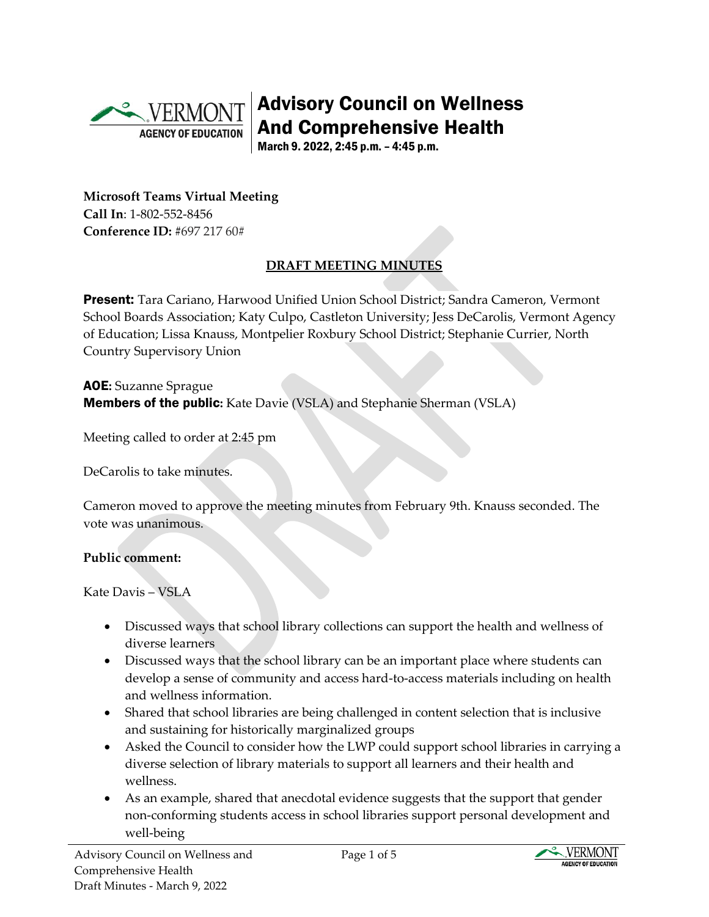

Advisory Council on Wellness And Comprehensive Health

March 9. 2022, 2:45 p.m. – 4:45 p.m.

**Microsoft Teams Virtual Meeting Call In**: 1-802-552-8456 **Conference ID:** #697 217 60#

# **DRAFT MEETING MINUTES**

Present: Tara Cariano, Harwood Unified Union School District; Sandra Cameron, Vermont School Boards Association; Katy Culpo, Castleton University; Jess DeCarolis, Vermont Agency of Education; Lissa Knauss, Montpelier Roxbury School District; Stephanie Currier, North Country Supervisory Union

AOE**:** Suzanne Sprague Members of the public**:** Kate Davie (VSLA) and Stephanie Sherman (VSLA)

Meeting called to order at 2:45 pm

DeCarolis to take minutes.

Cameron moved to approve the meeting minutes from February 9th. Knauss seconded. The vote was unanimous.

### **Public comment:**

Kate Davis – VSLA

- Discussed ways that school library collections can support the health and wellness of diverse learners
- Discussed ways that the school library can be an important place where students can develop a sense of community and access hard-to-access materials including on health and wellness information.
- Shared that school libraries are being challenged in content selection that is inclusive and sustaining for historically marginalized groups
- Asked the Council to consider how the LWP could support school libraries in carrying a diverse selection of library materials to support all learners and their health and wellness.
- As an example, shared that anecdotal evidence suggests that the support that gender non-conforming students access in school libraries support personal development and well-being

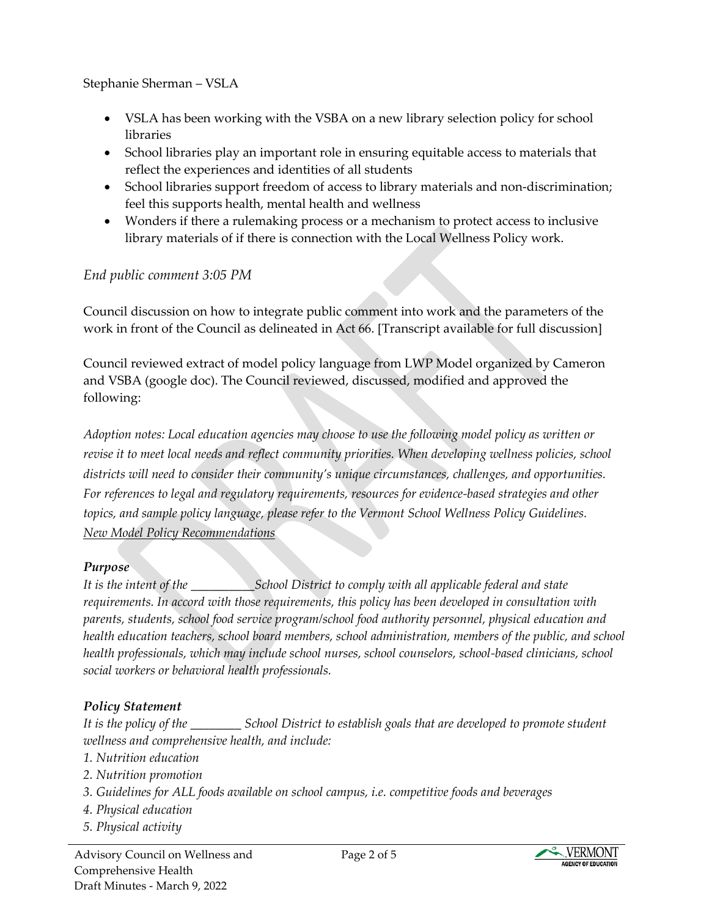Stephanie Sherman – VSLA

- VSLA has been working with the VSBA on a new library selection policy for school libraries
- School libraries play an important role in ensuring equitable access to materials that reflect the experiences and identities of all students
- School libraries support freedom of access to library materials and non-discrimination; feel this supports health, mental health and wellness
- Wonders if there a rulemaking process or a mechanism to protect access to inclusive library materials of if there is connection with the Local Wellness Policy work.

### *End public comment 3:05 PM*

Council discussion on how to integrate public comment into work and the parameters of the work in front of the Council as delineated in Act 66. [Transcript available for full discussion]

Council reviewed extract of model policy language from LWP Model organized by Cameron and VSBA (google doc). The Council reviewed, discussed, modified and approved the following:

*Adoption notes: Local education agencies may choose to use the following model policy as written or revise it to meet local needs and reflect community priorities. When developing wellness policies, school districts will need to consider their community's unique circumstances, challenges, and opportunities. For references to legal and regulatory requirements, resources for evidence-based strategies and other topics, and sample policy language, please refer to the Vermont School Wellness Policy Guidelines. New Model Policy Recommendations*

### *Purpose*

*It is the intent of the \_\_\_\_\_\_\_\_\_\_School District to comply with all applicable federal and state requirements. In accord with those requirements, this policy has been developed in consultation with parents, students, school food service program/school food authority personnel, physical education and health education teachers, school board members, school administration, members of the public, and school health professionals, which may include school nurses, school counselors, school-based clinicians, school social workers or behavioral health professionals.*

### *Policy Statement*

*It is the policy of the \_\_\_\_\_\_\_\_ School District to establish goals that are developed to promote student wellness and comprehensive health, and include:*

- *1. Nutrition education*
- *2. Nutrition promotion*
- *3. Guidelines for ALL foods available on school campus, i.e. competitive foods and beverages*
- *4. Physical education*
- *5. Physical activity*

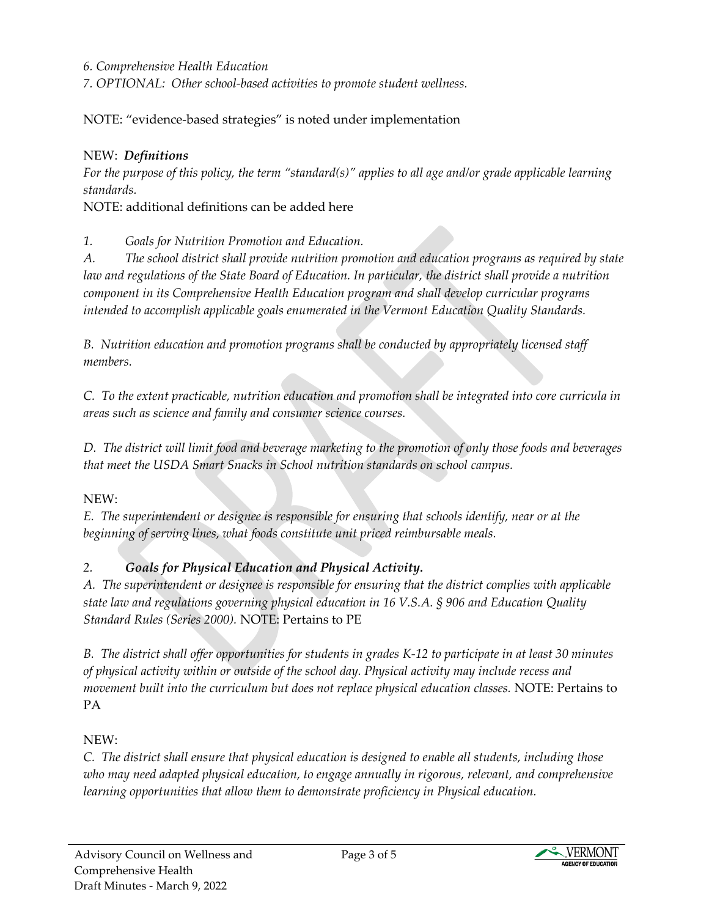*6. Comprehensive Health Education*

*7. OPTIONAL: Other school-based activities to promote student wellness.*

NOTE: "evidence-based strategies" is noted under implementation

#### NEW: *Definitions*

*For the purpose of this policy, the term "standard(s)" applies to all age and/or grade applicable learning standards.*

NOTE: additional definitions can be added here

*1. Goals for Nutrition Promotion and Education.* 

*A. The school district shall provide nutrition promotion and education programs as required by state law and regulations of the State Board of Education. In particular, the district shall provide a nutrition component in its Comprehensive Health Education program and shall develop curricular programs intended to accomplish applicable goals enumerated in the Vermont Education Quality Standards.*

*B. Nutrition education and promotion programs shall be conducted by appropriately licensed staff members.*

*C. To the extent practicable, nutrition education and promotion shall be integrated into core curricula in areas such as science and family and consumer science courses.*

*D. The district will limit food and beverage marketing to the promotion of only those foods and beverages that meet the USDA Smart Snacks in School nutrition standards on school campus.*

### NEW:

*E. The superintendent or designee is responsible for ensuring that schools identify, near or at the beginning of serving lines, what foods constitute unit priced reimbursable meals.*

### *2. Goals for Physical Education and Physical Activity.*

*A. The superintendent or designee is responsible for ensuring that the district complies with applicable state law and regulations governing physical education in 16 V.S.A. § 906 and Education Quality Standard Rules (Series 2000).* NOTE: Pertains to PE

*B. The district shall offer opportunities for students in grades K-12 to participate in at least 30 minutes of physical activity within or outside of the school day. Physical activity may include recess and movement built into the curriculum but does not replace physical education classes.* NOTE: Pertains to PA

### NEW:

*C. The district shall ensure that physical education is designed to enable all students, including those who may need adapted physical education, to engage annually in rigorous, relevant, and comprehensive learning opportunities that allow them to demonstrate proficiency in Physical education.*

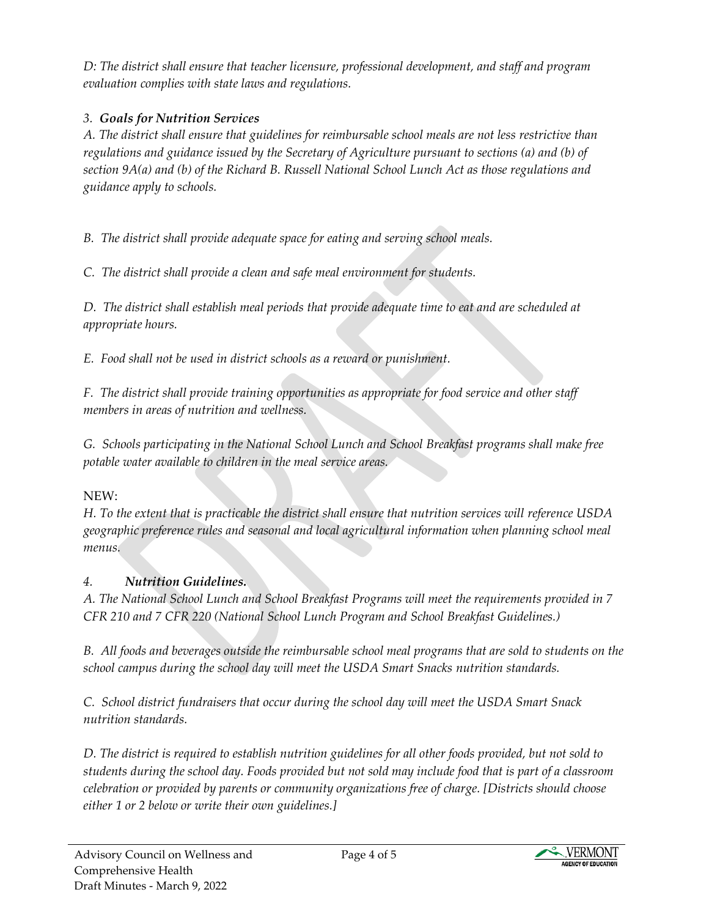*D: The district shall ensure that teacher licensure, professional development, and staff and program evaluation complies with state laws and regulations.*

# *3. Goals for Nutrition Services*

*A. The district shall ensure that guidelines for reimbursable school meals are not less restrictive than regulations and guidance issued by the Secretary of Agriculture pursuant to sections (a) and (b) of section 9A(a) and (b) of the Richard B. Russell National School Lunch Act as those regulations and guidance apply to schools.*

*B. The district shall provide adequate space for eating and serving school meals.*

*C. The district shall provide a clean and safe meal environment for students.*

*D. The district shall establish meal periods that provide adequate time to eat and are scheduled at appropriate hours.*

*E. Food shall not be used in district schools as a reward or punishment.* 

*F. The district shall provide training opportunities as appropriate for food service and other staff members in areas of nutrition and wellness.* 

*G. Schools participating in the National School Lunch and School Breakfast programs shall make free potable water available to children in the meal service areas.*

# NEW:

*H. To the extent that is practicable the district shall ensure that nutrition services will reference USDA geographic preference rules and seasonal and local agricultural information when planning school meal menus.*

# *4. Nutrition Guidelines.*

*A. The National School Lunch and School Breakfast Programs will meet the requirements provided in 7 CFR 210 and 7 CFR 220 (National School Lunch Program and School Breakfast Guidelines.)*

*B. All foods and beverages outside the reimbursable school meal programs that are sold to students on the school campus during the school day will meet the USDA Smart Snacks nutrition standards.*

*C. School district fundraisers that occur during the school day will meet the USDA Smart Snack nutrition standards.* 

*D. The district is required to establish nutrition guidelines for all other foods provided, but not sold to students during the school day. Foods provided but not sold may include food that is part of a classroom celebration or provided by parents or community organizations free of charge. [Districts should choose either 1 or 2 below or write their own guidelines.]*